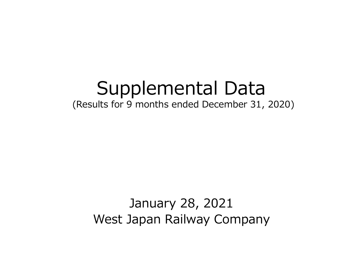# Supplemental Data (Results for 9 months ended December 31, 2020)

## January 28, 2021 West Japan Railway Company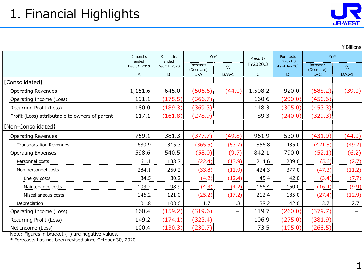

¥Billions

|                                                | 9 months<br>ended | 9 months<br>ended | YoY                              |                          | Results                  | Forecasts<br>FY2021.3 | YoY                              |                          |
|------------------------------------------------|-------------------|-------------------|----------------------------------|--------------------------|--------------------------|-----------------------|----------------------------------|--------------------------|
|                                                | Dec 31, 2019<br>A | Dec 31, 2020<br>B | Increase/<br>(Decrease)<br>$B-A$ | $\%$<br>$B/A-1$          | FY2020.3<br>$\mathsf{C}$ | As of Jan 28*<br>D.   | Increase/<br>(Decrease)<br>$D-C$ | $\frac{0}{0}$<br>$D/C-1$ |
| [Consolidated]                                 |                   |                   |                                  |                          |                          |                       |                                  |                          |
| <b>Operating Revenues</b>                      | 1,151.6           | 645.0             | (506.6)                          | (44.0)                   | 1,508.2                  | 920.0                 | (588.2)                          | (39.0)                   |
| Operating Income (Loss)                        | 191.1             | (175.5)           | (366.7)                          | $\qquad \qquad$          | 160.6                    | (290.0)               | (450.6)                          |                          |
| Recurring Profit (Loss)                        | 180.0             | (189.3)           | (369.3)                          | $\qquad \qquad$          | 148.3                    | (305.0)               | (453.3)                          |                          |
| Profit (Loss) attributable to owners of parent | 117.1             | (161.8)           | (278.9)                          | $\qquad \qquad -$        | 89.3                     | (240.0)               | (329.3)                          |                          |
| [Non-Consolidated]                             |                   |                   |                                  |                          |                          |                       |                                  |                          |
| <b>Operating Revenues</b>                      | 759.1             | 381.3             | (377.7)                          | (49.8)                   | 961.9                    | 530.0                 | (431.9)                          | (44.9)                   |
| <b>Transportation Revenues</b>                 | 680.9             | 315.3             | (365.5)                          | (53.7)                   | 856.8                    | 435.0                 | (421.8)                          | (49.2)                   |
| <b>Operating Expenses</b>                      | 598.6             | 540.5             | (58.0)                           | (9.7)                    | 842.1                    | 790.0                 | (52.1)                           | (6.2)                    |
| Personnel costs                                | 161.1             | 138.7             | (22.4)                           | (13.9)                   | 214.6                    | 209.0                 | (5.6)                            | (2.7)                    |
| Non personnel costs                            | 284.1             | 250.2             | (33.8)                           | (11.9)                   | 424.3                    | 377.0                 | (47.3)                           | (11.2)                   |
| Energy costs                                   | 34.5              | 30.2              | (4.2)                            | (12.4)                   | 45.4                     | 42.0                  | (3.4)                            | (7.7)                    |
| Maintenance costs                              | 103.2             | 98.9              | (4.3)                            | (4.2)                    | 166.4                    | 150.0                 | (16.4)                           | (9.9)                    |
| Miscellaneous costs                            | 146.2             | 121.0             | (25.2)                           | (17.2)                   | 212.4                    | 185.0                 | (27.4)                           | (12.9)                   |
| Depreciation                                   | 101.8             | 103.6             | 1.7                              | 1.8                      | 138.2                    | 142.0                 | 3.7                              | 2.7                      |
| Operating Income (Loss)                        | 160.4             | (159.2)           | (319.6)                          | $\qquad \qquad -$        | 119.7                    | (260.0)               | (379.7)                          |                          |
| Recurring Profit (Loss)                        | 149.2             | (174.1)           | (323.4)                          | $\overline{\phantom{m}}$ | 106.9                    | (275.0)               | (381.9)                          | $\overline{\phantom{0}}$ |
| Net Income (Loss)                              | 100.4             | (130.3)           | (230.7)                          | $\qquad \qquad$          | 73.5                     | (195.0)               | (268.5)                          | $\overline{\phantom{0}}$ |

Note: Figures in bracket ( ) are negative values.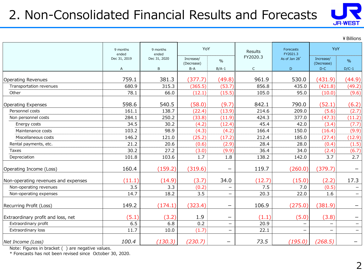## 2. Non-Consolidated Financial Results and Forecasts



|                                     |                   |                   |                         |                          |              |                              |                          | ¥ Billions        |
|-------------------------------------|-------------------|-------------------|-------------------------|--------------------------|--------------|------------------------------|--------------------------|-------------------|
|                                     | 9 months<br>ended | 9 months<br>ended | YoY                     |                          | Results      | <b>Forecasts</b><br>FY2021.3 | YoY                      |                   |
|                                     | Dec 31, 2019      | Dec 31, 2020      | Increase/<br>(Decrease) | $\frac{0}{0}$            | FY2020.3     | As of Jan 28                 | Increase/<br>(Decrease)  | $\frac{0}{0}$     |
|                                     | A                 | B                 | $B-A$                   | $B/A-1$                  | $\mathsf{C}$ | D.                           | $D-C$                    | $D/C-1$           |
| <b>Operating Revenues</b>           | 759.1             | 381.3             | (377.7)                 | (49.8)                   | 961.9        | 530.0                        | (431.9)                  | (44.9)            |
| Transportation revenues             | 680.9             | 315.3             | (365.5)                 | (53.7)                   | 856.8        | 435.0                        | (421.8)                  | (49.2)            |
| Other                               | 78.1              | 66.0              | (12.1)                  | (15.5)                   | 105.0        | 95.0                         | (10.0)                   | (9.6)             |
| <b>Operating Expenses</b>           | 598.6             | 540.5             | (58.0)                  | (9.7)                    | 842.1        | 790.0                        | (52.1)                   | (6.2)             |
| Personnel costs                     | 161.1             | 138.7             | (22.4)                  | (13.9)                   | 214.6        | 209.0                        | (5.6)                    | (2.7)             |
| Non personnel costs                 | 284.1             | 250.2             | (33.8)                  | (11.9)                   | 424.3        | 377.0                        | (47.3)                   | (11.2)            |
| Energy costs                        | 34.5              | 30.2              | (4.2)                   | (12.4)                   | 45.4         | 42.0                         | (3.4)                    | (7.7)             |
| Maintenance costs                   | 103.2             | 98.9              | (4.3)                   | (4.2)                    | 166.4        | 150.0                        | (16.4)                   | (9.9)             |
| Miscellaneous costs                 | 146.2             | 121.0             | (25.2)                  | (17.2)                   | 212.4        | 185.0                        | (27.4)                   | (12.9)            |
| Rental payments, etc.               | 21.2              | 20.6              | (0.6)                   | (2.9)                    | 28.4         | 28.0                         | (0.4)                    | (1.5)             |
| Taxes                               | 30.2              | 27.2              | (3.0)                   | (9.9)                    | 36.4         | 34.0                         | (2.4)                    | (6.7)             |
| Depreciation                        | 101.8             | 103.6             | 1.7                     | 1.8                      | 138.2        | 142.0                        | 3.7                      | 2.7               |
| Operating Income (Loss)             | 160.4             | (159.2)           | (319.6)                 |                          | 119.7        | (260.0)                      | (379.7)                  |                   |
| Non-operating revenues and expenses | (11.1)            | (14.9)            | (3.7)                   | 34.0                     | (12.7)       | (15.0)                       | (2.2)                    | 17.3              |
| Non-operating revenues              | 3.5               | 3.3               | (0.2)                   |                          | 7.5          | 7.0                          | (0.5)                    |                   |
| Non-operating expenses              | 14.7              | 18.2              | 3.5                     | $\overline{\phantom{0}}$ | 20.3         | 22.0                         | 1.6                      | $\qquad \qquad -$ |
| Recurring Profit (Loss)             | 149.2             | (174.1)           | (323.4)                 |                          | 106.9        | (275.0)                      | (381.9)                  | —                 |
| Extraordinary profit and loss, net  | (5.1)             | (3.2)             | 1.9                     | -                        | (1.1)        | (5.0)                        | (3.8)                    | $\qquad \qquad -$ |
| Extraordinary profit                | 6.5               | 6.8               | 0.2                     | -                        | 20.9         | -                            | —                        | $\qquad \qquad -$ |
| Extraordinary loss                  | 11.7              | 10.0              | (1.7)                   | $\overline{\phantom{0}}$ | 22.1         | $\overline{\phantom{0}}$     | $\overline{\phantom{0}}$ | $\qquad \qquad -$ |
| Net Income (Loss)                   | 100.4             | (130.3)           | (230.7)                 | —                        | 73.5         | (195.0)                      | (268.5)                  | —                 |

Note: Figures in bracket ( ) are negative values.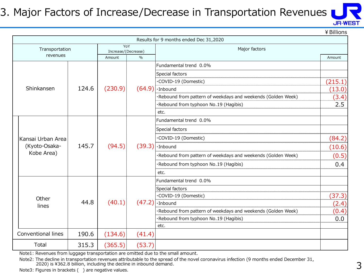#### 3. Major Factors of Increase/Decrease in Transportation Revenues



¥Billions

|                    |       |                               |        | Results for 9 months ended Dec 31,2020                       |         |
|--------------------|-------|-------------------------------|--------|--------------------------------------------------------------|---------|
| Transportation     |       | YoY                           |        | Major factors                                                |         |
| revenues           |       | Increase/(Decrease)<br>Amount | $\%$   |                                                              | Amount  |
|                    |       |                               |        | Fundamental trend 0.0%                                       |         |
|                    |       |                               |        | Special factors                                              |         |
|                    |       |                               |        | ·COVID-19 (Domestic)                                         | (215.1) |
| Shinkansen         | 124.6 | (230.9)                       |        | $(64.9)$ . Inbound                                           | (13.0)  |
|                    |       |                               |        | ·Rebound from pattern of weekdays and weekends (Golden Week) | (3.4)   |
|                    |       |                               |        | ·Rebound from typhoon No.19 (Hagibis)                        | 2.5     |
|                    |       |                               |        | etc.                                                         |         |
|                    |       |                               |        | Fundamental trend 0.0%                                       |         |
|                    |       |                               |        | Special factors                                              |         |
| Kansai Urban Area  |       | (94.5)                        |        | ·COVID-19 (Domestic)                                         | (84.2)  |
| (Kyoto-Osaka-      | 145.7 |                               |        | $(39.3)$ . Inbound                                           | (10.6)  |
| Kobe Area)         |       |                               |        | ·Rebound from pattern of weekdays and weekends (Golden Week) | (0.5)   |
|                    |       |                               |        | ·Rebound from typhoon No.19 (Hagibis)                        | 0.4     |
|                    |       |                               |        | etc.                                                         |         |
|                    |       |                               |        | Fundamental trend 0.0%                                       |         |
|                    |       |                               |        | Special factors                                              |         |
| Other              |       |                               |        | ·COVID-19 (Domestic)                                         | (37.3)  |
| lines              | 44.8  | (40.1)                        |        | $(47.2)$ . Inbound                                           | (2.4)   |
|                    |       |                               |        | ·Rebound from pattern of weekdays and weekends (Golden Week) | (0.4)   |
|                    |       |                               |        | ·Rebound from typhoon No.19 (Hagibis)                        | 0.0     |
|                    |       |                               |        | etc.                                                         |         |
| Conventional lines | 190.6 | (134.6)                       | (41.4) |                                                              |         |
| Total              | 315.3 | (365.5)                       | (53.7) |                                                              |         |

Note1: Revenues from luggage transportation are omitted due to the small amount.

Note2: The decline in transportation revenues attributable to the spread of the novel coronavirus infection (9 months ended December 31, 2020) is ¥362.8 billion, including the decline in inbound demand.

Note3: Figures in brackets () are negative values.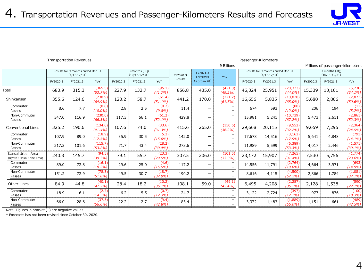

#### Transportation Revenues Passenger-Kilometers

|                                              |          |                                                         |                      |          |                                      |                      |          |                              | ¥ Billions            | Millions of passenger-kilometers                        |          |                        |          |                                      |                        |
|----------------------------------------------|----------|---------------------------------------------------------|----------------------|----------|--------------------------------------|----------------------|----------|------------------------------|-----------------------|---------------------------------------------------------|----------|------------------------|----------|--------------------------------------|------------------------|
|                                              |          | Results for 9 months ended Dec 31<br>$(4/1 \sim 12/31)$ |                      |          | 3 months (3Q)<br>$(10/1 \sim 12/31)$ |                      | FY2020.3 | FY2021.3<br><b>Forecasts</b> | YoY                   | Results for 9 months ended Dec 31<br>$(4/1 \sim 12/31)$ |          |                        |          | 3 months (3Q)<br>$(10/1 \sim 12/31)$ |                        |
|                                              | FY2020.3 | FY2021.3                                                | YoY                  | FY2020.3 | FY2021.3                             | YoY                  | Results  | As of Jan 28                 |                       | FY2020.3                                                | FY2021.3 | YoY                    | FY2020.3 | FY2021.3                             | YoY                    |
| Total                                        | 680.9    | 315.3                                                   | (365.5)<br>(53.7%)   | 227.9    | 132.7                                | (95.1)<br>(41.7%)    | 856.8    | 435.0                        | (421.8)<br>$(49.2\%)$ | 46,324                                                  | 25,951   | (20, 373)<br>$(44.0\%$ | 15,339   | 10,101                               | (5, 238)<br>$(34.1\%)$ |
| Shinkansen                                   | 355.6    | 124.6                                                   | (230.9)<br>(64.9%    | 120.2    | 58.7                                 | (61.4)<br>$(51.1\%)$ | 441.2    | 170.0                        | (271.2)<br>(61.5%     | 16,656                                                  | 5,835    | (10, 820)<br>(65.0%    | 5,680    | 2,806                                | (2,873)<br>$(50.6\%)$  |
| Commuter<br>Passes                           | 8.6      | 7.7                                                     | (0.8)<br>(10.0%      | 2.8      | 2.5                                  | (0.2)<br>(9.8%       | 11.4     |                              |                       | 674                                                     | 593      | (80)<br>(12.0%)        | 206      | 194                                  | (11)<br>(5.7%)         |
| Non-Commuter<br>Passes                       | 347.0    | 116.9                                                   | (230.0)<br>(66.3%)   | 117.3    | 56.1                                 | (61.2)<br>$(52.1\%)$ | 429.8    | —                            |                       | 15,981                                                  | 5,241    | (10, 739)<br>(67.2%)   | 5,473    | 2,611                                | (2,861)<br>(52.3%      |
| <b>Conventional Lines</b>                    | 325.2    | 190.6                                                   | (134.6)<br>(41.4%    | 107.6    | 74.0                                 | (33.6)<br>(31.3%)    | 415.6    | 265.0                        | (150.6)<br>(36.2%)    | 29,668                                                  | 20,115   | (9, 552)<br>(32.2%)    | 9,659    | 7,295                                | (2, 364)<br>(24.5%)    |
| Commuter<br>Passes                           | 107.9    | 89.0                                                    | (18.9)<br>(17.5%)    | 35.9     | 30.5                                 | (5.3)<br>$(15.0\%)$  | 142.0    | —                            |                       | 17,678                                                  | 14,516   | (3, 162)<br>(17.9%)    | 5,641    | 4,848                                | (793)<br>$(14.1\%)$    |
| Non-Commuter<br><u>Passes</u>                | 217.3    | 101.6                                                   | (115.7)<br>(53.2%    | 71.7     | 43.4                                 | (28.2)<br>$(39.4\%)$ | 273.6    |                              |                       | 11,989                                                  | 5,599    | (6, 389)<br>$(53.3\%)$ | 4,017    | 2,446                                | (1, 571)<br>$(39.1\%)$ |
| Kansai Urban Area<br>(Kyoto-Osaka-Kobe Area) | 240.3    | 145.7                                                   | (94.5)<br>(39.3%)    | 79.1     | 55.7                                 | (23.3)<br>(29.5%)    | 307.5    | 206.0                        | (101.5)<br>(33.0%     | 23,172                                                  | 15,907   | (7, 265)<br>(31.4%)    | 7,530    | 5,756                                | (1,774)<br>(23.6%)     |
| Commuter<br>Passes                           | 89.0     | 72.8                                                    | (16.1)<br>$(18.2\%)$ | 29.6     | 25.0                                 | (4.6)<br>$(15.5\%)$  | 117.2    | $\overline{\phantom{m}}$     |                       | 14,556                                                  | 11,791   | (2,764)<br>(19.0%      | 4,664    | 3,971                                | (693)<br>(14.9%        |
| Non-Commuter<br>Passes                       | 151.2    | 72.9                                                    | (78.3)<br>(51.8%)    | 49.5     | 30.7                                 | (18.7)<br>(37.9%)    | 190.2    |                              |                       | 8,616                                                   | 4,115    | (4,500)<br>(52.2%)     | 2,866    | 1,784                                | (1,081)<br>(37.7%      |
| Other Lines                                  | 84.9     | 44.8                                                    | (40.1)<br>(47.2%)    | 28.4     | 18.2                                 | (10.2)<br>(36.1%)    | 108.1    | 59.0                         | (49.1)<br>(45.4%      | 6,495                                                   | 4,208    | (2, 287)<br>(35.2%)    | 2,128    | 1,538                                | (590)<br>(27.7%        |
| Commuter<br>Passes                           | 18.9     | 16.1                                                    | (2.7)<br>(14.5%)     | 6.2      | 5.5                                  | (0.7)<br>(12.3%)     | 24.7     | $\overline{\phantom{m}}$     |                       | 3,122                                                   | 2,724    | (397)<br>(12.7%)       | 977      | 876                                  | (100)<br>(10.3%)       |
| Non-Commuter<br>Passes                       | 66.0     | 28.6                                                    | (37.3)<br>(56.6%)    | 22.2     | 12.7                                 | (9.4)<br>(42.8%)     | 83.4     | -                            |                       | 3,372                                                   | 1,483    | (1,889)<br>$(56.0\%)$  | 1,151    | 661                                  | (489)<br>(42.5%)       |

Note: Figures in bracket ( ) are negative values.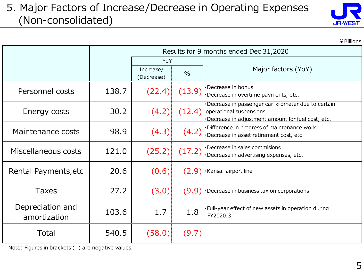#### 5. Major Factors of Increase/Decrease in Operating Expenses (Non-consolidated)

| <b>JR-WEST</b> |  |
|----------------|--|

¥Billions

Increase/ Therease) 96 Personnel costs  $138.7$   $(22.4)$   $(13.9)$   $\sum_{\text{Decrease in points}}$ ・Decrease in overtime payments, etc. Results for 9 months ended Dec 31,2020 YoY Major factors (YoY) Maintenance costs  $\begin{array}{|c|c|c|c|c|c|}\n\hline\n & 98.9 & (4.3) & (4.2) & \text{Derrace in persec in nearest estimate.} \n\end{array}$ ・Decrease in asset retirement cost, etc. Energy costs  $\begin{bmatrix} 30.2 & (4.2) & (12.4) \end{bmatrix}$ ・Decrease in passenger car-kilometer due to certain operational suspensions ・Decrease in adjustment amount for fuel cost, etc. Rental Payments, etc  $\vert$  20.6  $\vert$  (0.6) (2.9)  $\vert$  Kansai-airport line Miscellaneous costs  $\begin{vmatrix} 121.0 & (25.2) & (17.2) \end{vmatrix}$  . Decrease in sales commisions ・Decrease in advertising expenses, etc. Depreciation and Epreciation and  $\begin{array}{|c|c|c|c|c|}\n\hline\n103.6 & 1.7 & 1.8 & Full-year effect of new assets in operation during a  
FY2020.3 &\n\end{array}$  FY2020.3 Taxes  $\begin{array}{|c|c|c|c|c|}\n\hline\n27.2 & (3.0) & (9.9) \cdot$ Decrease in business tax on corporations Total 540.5 (58.0) (9.7)

Note: Figures in brackets ( ) are negative values.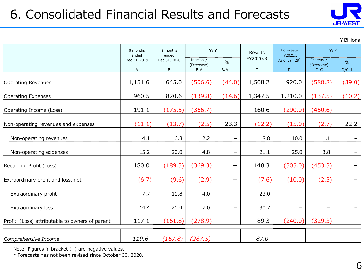## 6. Consolidated Financial Results and Forecasts



¥Billions

|                                                | 9 months<br>ended | 9 months<br>ended | YoY                              |                          | Results                  | Forecasts<br>FY2021.3          | YoY                              |                          |
|------------------------------------------------|-------------------|-------------------|----------------------------------|--------------------------|--------------------------|--------------------------------|----------------------------------|--------------------------|
|                                                | Dec 31, 2019      | Dec 31, 2020<br>B | Increase/<br>(Decrease)<br>$B-A$ | $\frac{0}{0}$<br>$B/A-1$ | FY2020.3<br>$\mathsf{C}$ | As of Jan 28 <sup>*</sup><br>D | Increase/<br>(Decrease)<br>$D-C$ | $\%$<br>$D/C-1$          |
|                                                | A                 |                   |                                  |                          |                          |                                |                                  |                          |
| <b>Operating Revenues</b>                      | 1,151.6           | 645.0             | (506.6)                          | (44.0)                   | 1,508.2                  | 920.0                          | (588.2)                          | (39.0)                   |
| <b>Operating Expenses</b>                      | 960.5             | 820.6             | (139.8)                          | (14.6)                   | 1,347.5                  | 1,210.0                        | (137.5)                          | (10.2)                   |
| Operating Income (Loss)                        | 191.1             | (175.5)           | (366.7)                          |                          | 160.6                    | (290.0)                        | (450.6)                          |                          |
| Non-operating revenues and expenses            | (11.1)            | (13.7)            | (2.5)                            | 23.3                     | (12.2)                   | (15.0)                         | (2.7)                            | 22.2                     |
| Non-operating revenues                         | 4.1               | 6.3               | 2.2                              | $\qquad \qquad -$        | 8.8                      | 10.0                           | 1.1                              |                          |
| Non-operating expenses                         | 15.2              | 20.0              | 4.8                              | $\qquad \qquad -$        | 21.1                     | 25.0                           | 3.8                              | $\overline{\phantom{m}}$ |
| Recurring Profit (Loss)                        | 180.0             | (189.3)           | (369.3)                          | $\overline{\phantom{0}}$ | 148.3                    | (305.0)                        | (453.3)                          |                          |
| Extraordinary profit and loss, net             | (6.7)             | (9.6)             | (2.9)                            | $\qquad \qquad -$        | (7.6)                    | (10.0)                         | (2.3)                            |                          |
| Extraordinary profit                           | 7.7               | 11.8              | 4.0                              | —                        | 23.0                     |                                |                                  | —                        |
| Extraordinary loss                             | 14.4              | 21.4              | 7.0                              | $\qquad \qquad -$        | 30.7                     |                                | $\overline{\phantom{m}}$         | —                        |
| Profit (Loss) attributable to owners of parent | 117.1             | (161.8)           | (278.9)                          | $\overline{\phantom{0}}$ | 89.3                     | (240.0)                        | (329.3)                          |                          |
| Comprehensive Income                           | 119.6             |                   | $(167.8)$ $(287.5)$              | —                        | 87.0                     |                                |                                  |                          |

Note: Figures in bracket ( ) are negative values.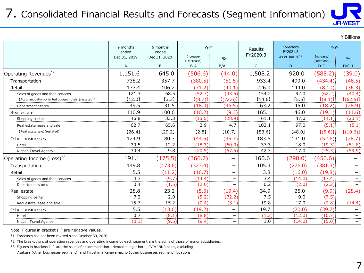### 7. Consolidated Financial Results and Forecasts (Segment Information)



|                                                     |                   |                   |                         |                          |              |                              |                         | ¥ Billions                     |
|-----------------------------------------------------|-------------------|-------------------|-------------------------|--------------------------|--------------|------------------------------|-------------------------|--------------------------------|
|                                                     | 9 months<br>ended | 9 months<br>ended | YoY                     |                          | Results      | <b>Forecasts</b><br>FY2021.3 | YoY                     |                                |
|                                                     | Dec 31, 2019      | Dec 31, 2020      | Increase/<br>(Decrease) | $\%$                     | FY2020.3     | As of Jan $28^{*1}$          | Increase/<br>(Decrease) | $\%$                           |
|                                                     | Α                 | B                 | $B-A$                   | $B/A-1$                  | $\mathsf{C}$ | D                            | $D-C$                   | $D/C-1$                        |
| Operating Revenues <sup>*2</sup>                    | 1,151.6           | 645.0             | (506.6)                 | (44.0)                   | 1,508.2      | 920.0                        | (588.2)                 | (39.0)                         |
| Transportation                                      | 738.2             | 357.7             | (380.5)                 | (51.5)                   | 933.4        | 499.0                        | (434.4)                 | (46.5)                         |
| Retail                                              | 177.4             | 106.2             | (71.2)                  | (40.1)                   | 226.0        | 144.0                        | (82.0)                  | (36.3)                         |
| Sales of goods and food services                    | 121.3             | 68.5              | (52.7)                  | (43.5)                   | 154.2        | 92.0                         | (62.2)                  | (40.4)                         |
| [Accommodation-oriented budget hotels] (restated)*3 | [12.0]            | [3.3]             | [(8.7)]                 | [(72.6)]                 | [14.6]       | [5.5]                        | [(9.1)]                 | [(62.5)]                       |
| <b>Department Stores</b>                            | 49.5              | 31.5              | (18.0)                  | (36.5)                   | 63.2         | 45.0                         | (18.2)                  | (28.9)                         |
| Real estate                                         | 110.9             | 100.6             | (10.2)                  | (9.3)                    | 165.1        | 146.0                        | (19.1)                  | (11.6)                         |
| Shopping center                                     | 46.8              | 33.3              | (13.5)                  | (28.9)                   | 61.1         | 47.0                         | (14.1)                  | (23.1)                         |
| Real estate lease and sale                          | 62.7              | 65.6              | 2.9                     | 4.7                      | 102.1        | 97.0                         | (5.1)                   | (5.1)                          |
| [Real estate sale] (restated)                       | [26.4]            | [29.2]            | [2.8]                   | [10.7]                   | [53.6]       | [48.0]                       | [(5.6)]                 | [(10.6)]                       |
| Other businesses                                    | 124.9             | 80.3              | (44.5)                  | (35.7)                   | 183.6        | 131.0                        | (52.6)                  | (28.7)                         |
| Hotel                                               | 30.5              | 12.2              | (18.3)                  | (60.0)                   | 37.3         | 18.0                         | (19.3)                  | (51.8)                         |
| Nippon Travel Agency                                | 30.4              | 9.8               | (20.5)                  | (67.5)                   | 42.3         | 17.0                         | (25.3)                  | (59.9)                         |
| Operating Income (Loss) <sup>*2</sup>               | 191.1             | (175.5)           | (366.7)                 | —                        | 160.6        | (290.0)                      | (450.6)                 | —                              |
| Transportation                                      | 149.8             | (173.6)           | (323.4)                 | —                        | 105.3        | (276.0)                      | (381.3)                 | $\equiv$                       |
| Retail                                              | 5.5               | (11.2)            | (16.7)                  | Ξ.                       | 3.8          | (16.0)                       | (19.8)                  | $\qquad \qquad \longleftarrow$ |
| Sales of goods and food services                    | 4.7               | (9.7)             | (14.4)                  | $\qquad \qquad -$        | 3.4          | (14.0)                       | (17.4)                  | $\overline{\phantom{m}}$       |
| Department stores                                   | 0.4               | (1.5)             | (2.0)                   | $\overline{\phantom{0}}$ | 0.2          | (2.0)                        | (2.2)                   | $\overline{\phantom{m}}$       |
| Real estate                                         | 28.8              | 23.2              | (5.5)                   | (19.4)                   | 34.9         | 25.0                         | (9.9)                   | (28.4)                         |
| Shopping center                                     | 7.2               | 2.0               | (5.2)                   | (72.2)                   | 7.5          | 0.0                          | (7.5)                   |                                |
| Real estate lease and sale                          | 15.7              | 15.2              | (0.4)                   | (3.1)                    | 19.8         | 17.0                         | (2.8)                   | (14.4)                         |
| Other businesses                                    | 5.5               | (13.6)            | (19.2)                  | -                        | 19.7         | (20.0)                       | (39.7)                  |                                |
| Hotel                                               | 0.7               | (8.1)             | (8.8)                   | $\overline{\phantom{0}}$ | (1.2)        | (12.0)                       | (10.7)                  | $\overline{\phantom{m}}$       |
| Nippon Travel Agency                                | (0.1)             | (9.5)             | (9.4)                   | $\qquad \qquad -$        | 1.0          | (14.0)                       | (15.0)                  | $\qquad \qquad -$              |

Note: Figures in bracket ( ) are negative values.

\*1 Forecasts has not been revised since October 30, 2020.

\*2 The breakdowns of operating revenues and operating income by each segment are the sums of those of major subsidiaries.

\*3 Figures in brackets 【 】 are the sales of accommodation-oriented budget hotel, "VIA INN", sales, excluding

Asakusa (other businesses segment), and Hiroshima Kanayamacho (other businesses segment) locations.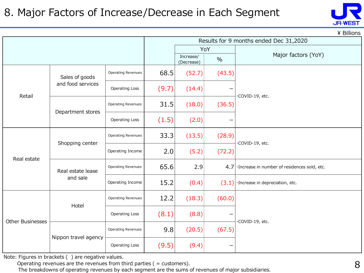#### 8. Major Factors of Increase/Decrease in Each Segment



\ Billions

|                         |                      |                           |       | Results for 9 months ended Dec 31,2020 |        |                                               |  |  |  |
|-------------------------|----------------------|---------------------------|-------|----------------------------------------|--------|-----------------------------------------------|--|--|--|
|                         |                      |                           |       |                                        | YoY    |                                               |  |  |  |
|                         |                      |                           |       | Increase/<br>(Decrease)                | $\%$   | Major factors (YoY)                           |  |  |  |
|                         | Sales of goods       | Operating Revenues        | 68.5  | (52.7)                                 | (43.5) |                                               |  |  |  |
| Retail                  | and food services    | Operating Loss            | (9.7) | (14.4)                                 |        | COVID-19, etc.                                |  |  |  |
|                         | Department stores    | Operating Revenues        | 31.5  | (18.0)                                 | (36.5) |                                               |  |  |  |
|                         |                      | Operating Loss            | (1.5) | (2.0)                                  |        |                                               |  |  |  |
|                         | Shopping center      | <b>Operating Revenues</b> | 33.3  | (13.5)                                 | (28.9) | COVID-19, etc.                                |  |  |  |
| Real estate             |                      | Operating Income          | 2.0   | (5.2)                                  | (72.2) |                                               |  |  |  |
|                         | Real estate lease    | Operating Revenues        | 65.6  | 2.9                                    | 4.7    | · Increase in number of residences sold, etc. |  |  |  |
|                         | and sale             | Operating Income          | 15.2  | (0.4)                                  |        | $(3.1)$ . Increase in depreciation, etc.      |  |  |  |
|                         | Hotel                | <b>Operating Revenues</b> | 12.2  | (18.3)                                 | (60.0) |                                               |  |  |  |
| <b>Other Businesses</b> |                      | <b>Operating Loss</b>     | (8.1) | (8.8)                                  |        | ·COVID-19, etc.                               |  |  |  |
|                         | Nippon travel agency | Operating Revenues        | 9.8   | (20.5)                                 | (67.5) |                                               |  |  |  |
|                         |                      | <b>Operating Loss</b>     | (9.5) | (9.4)                                  |        |                                               |  |  |  |

Note: Figures in brackets ( ) are negative values.

Operating revenues are the revenues from third parties ( = customers).

The breakdowns of operating revenues by each segment are the sums of revenues of major subsidiaries.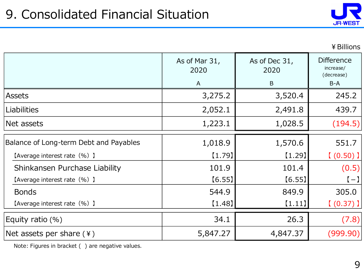

¥Billions

|                                        | As of Mar 31,<br>2020<br>A | As of Dec 31,<br>2020<br>B | <b>Difference</b><br>increase/<br>(decrease)<br>B-A |
|----------------------------------------|----------------------------|----------------------------|-----------------------------------------------------|
| <b>Assets</b>                          | 3,275.2                    | 3,520.4                    | 245.2                                               |
|                                        |                            |                            |                                                     |
| Liabilities                            | 2,052.1                    | 2,491.8                    | 439.7                                               |
| Net assets                             | 1,223.1                    | 1,028.5                    | (194.5)                                             |
| Balance of Long-term Debt and Payables | 1,018.9                    | 1,570.6                    | 551.7                                               |
| [Average interest rate (%) ]           | [1.79]                     | $[1.29]$                   | $(0.50)$ ]                                          |
| Shinkansen Purchase Liability          | 101.9                      | 101.4                      | (0.5)                                               |
| [Average interest rate (%) ]           | [6.55]                     | [6.55]                     | $\left[-\right]$                                    |
| <b>Bonds</b>                           | 544.9                      | 849.9                      | 305.0                                               |
| [Average interest rate (%) ]           | [1.48]                     | $\left[1.11\right]$        | $(0.37)$ ]                                          |
| Equity ratio $(\%)$                    | 34.1                       | 26.3                       | (7.8)                                               |
| Net assets per share $(*)$             | 5,847.27                   | 4,847.37                   | (999.90)                                            |

Note: Figures in bracket ( ) are negative values.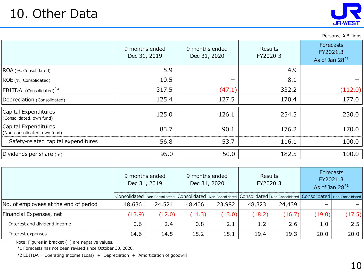## 10. Other Data



Persons, ¥Billions

|                                                      | 9 months ended<br>Dec 31, 2019 | 9 months ended<br>Dec 31, 2020 | <b>Results</b><br>FY2020.3 | Forecasts<br>FY2021.3<br>As of Jan 28 <sup>*1</sup> |
|------------------------------------------------------|--------------------------------|--------------------------------|----------------------------|-----------------------------------------------------|
| ROA (%, Consolidated)                                | 5.9                            |                                | 4.9                        |                                                     |
| ROE (%, Consolidated)                                | 10.5                           |                                | 8.1                        |                                                     |
| EBITDA (Consolidated) <sup>*2</sup>                  | 317.5                          | (47.1)                         | 332.2                      | (112.0)                                             |
| Depreciation (Consolidated)                          | 125.4                          | 127.5                          | 170.4                      | 177.0                                               |
| Capital Expenditures<br>(Consolidated, own fund)     | 125.0                          | 126.1                          | 254.5                      | 230.0                                               |
| Capital Expenditures<br>(Non-consolidated, own fund) | 83.7                           | 90.1                           | 176.2                      | 170.0                                               |
| Safety-related capital expenditures                  | 56.8                           | 53.7                           | 116.1                      | 100.0                                               |
| Dividends per share $(*)$                            | 95.0                           | 50.0                           | 182.5                      | 100.0                                               |

|                                       | 9 months ended<br>Dec 31, 2019                                                                                                                                                                                                 |        |        | 9 months ended<br>Dec 31, 2020 | Results<br>FY2020.3 |        | Forecasts<br>FY2021.3<br>As of Jan $28^{*1}$ |        |
|---------------------------------------|--------------------------------------------------------------------------------------------------------------------------------------------------------------------------------------------------------------------------------|--------|--------|--------------------------------|---------------------|--------|----------------------------------------------|--------|
|                                       | Consolidated   Non-Consolidated   Consolidated   Non-Consolidated   Consolidated   Non-Consolidated   Consolidated   Non-Consolidated   Non-Consolidated   Non-Consolidated   Non-Consolidated   Non-Consolidated   Non-Consol |        |        |                                |                     |        |                                              |        |
| No. of employees at the end of period | 48,636                                                                                                                                                                                                                         | 24,524 | 48,406 | 23,982                         | 48,323              | 24,439 |                                              |        |
| Financial Expenses, net               | (13.9)                                                                                                                                                                                                                         | (12.0) | (14.3) | (13.0)                         | (18.2)              | (16.7) | (19.0)                                       | (17.5) |
| Interest and dividend income          | 0.6                                                                                                                                                                                                                            | 2.4    | 0.8    | 2.1                            | 1.2                 | 2.6    | 1.0                                          | 2.5    |
| Interest expenses                     | 14.6                                                                                                                                                                                                                           | 14.5   | 15.2   | 15.1                           | 19.4                | 19.3   | 20.0                                         | 20.0   |

Note: Figures in bracket ( ) are negative values.

\*1 Forecasts has not been revised since October 30, 2020.

 $*2$  EBITDA = Operating Income (Loss) + Depreciation + Amortization of goodwill